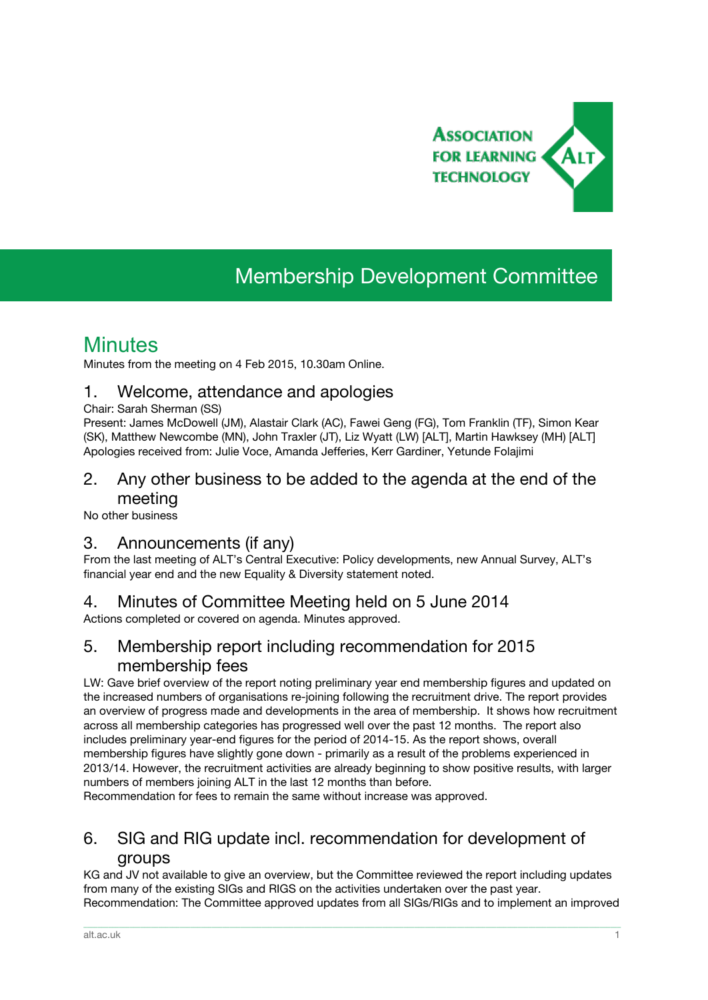

# Membership Development Committee

## **Minutes**

Minutes from the meeting on 4 Feb 2015, 10.30am Online.

### 1. Welcome, attendance and apologies

#### Chair: Sarah Sherman (SS)

Present: James McDowell (JM), Alastair Clark (AC), Fawei Geng (FG), Tom Franklin (TF), Simon Kear (SK), Matthew Newcombe (MN), John Traxler (JT), Liz Wyatt (LW) [ALT], Martin Hawksey (MH) [ALT] Apologies received from: Julie Voce, Amanda Jefferies, Kerr Gardiner, Yetunde Folajimi

### 2. Any other business to be added to the agenda at the end of the meeting

No other business

### 3. Announcements (if any)

From the last meeting of ALT's Central Executive: Policy developments, new Annual Survey, ALT's financial year end and the new Equality & Diversity statement noted.

### 4. Minutes of Committee Meeting held on 5 June 2014

Actions completed or covered on agenda. Minutes approved.

### 5. Membership report including recommendation for 2015 membership fees

LW: Gave brief overview of the report noting preliminary year end membership figures and updated on the increased numbers of organisations re-joining following the recruitment drive. The report provides an overview of progress made and developments in the area of membership. It shows how recruitment across all membership categories has progressed well over the past 12 months. The report also includes preliminary year-end figures for the period of 2014-15. As the report shows, overall membership figures have slightly gone down - primarily as a result of the problems experienced in 2013/14. However, the recruitment activities are already beginning to show positive results, with larger numbers of members joining ALT in the last 12 months than before.

Recommendation for fees to remain the same without increase was approved.

### 6. SIG and RIG update incl. recommendation for development of groups

KG and JV not available to give an overview, but the Committee reviewed the report including updates from many of the existing SIGs and RIGS on the activities undertaken over the past year. Recommendation: The Committee approved updates from all SIGs/RIGs and to implement an improved

\_\_\_\_\_\_\_\_\_\_\_\_\_\_\_\_\_\_\_\_\_\_\_\_\_\_\_\_\_\_\_\_\_\_\_\_\_\_\_\_\_\_\_\_\_\_\_\_\_\_\_\_\_\_\_\_\_\_\_\_\_\_\_\_\_\_\_\_\_\_\_\_\_\_\_\_\_\_\_\_\_\_\_\_\_\_\_\_\_\_\_\_\_\_\_\_\_\_\_\_\_\_\_\_\_\_\_\_\_\_\_\_\_\_\_\_\_\_\_\_\_\_\_\_\_\_\_\_\_\_\_\_\_\_\_\_\_\_\_\_\_\_\_\_\_\_\_\_\_\_\_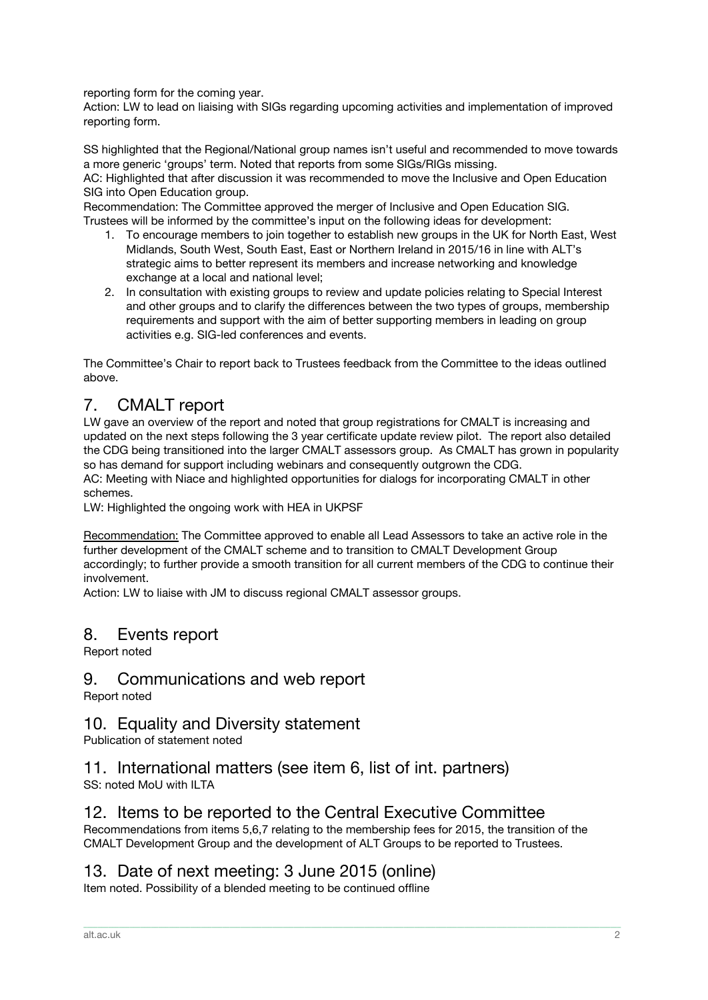reporting form for the coming year.

Action: LW to lead on liaising with SIGs regarding upcoming activities and implementation of improved reporting form.

SS highlighted that the Regional/National group names isn't useful and recommended to move towards a more generic 'groups' term. Noted that reports from some SIGs/RIGs missing. AC: Highlighted that after discussion it was recommended to move the Inclusive and Open Education

SIG into Open Education group. Recommendation: The Committee approved the merger of Inclusive and Open Education SIG. Trustees will be informed by the committee's input on the following ideas for development:

- 1. To encourage members to join together to establish new groups in the UK for North East, West Midlands, South West, South East, East or Northern Ireland in 2015/16 in line with ALT's strategic aims to better represent its members and increase networking and knowledge exchange at a local and national level;
- 2. In consultation with existing groups to review and update policies relating to Special Interest and other groups and to clarify the differences between the two types of groups, membership requirements and support with the aim of better supporting members in leading on group activities e.g. SIG-led conferences and events.

The Committee's Chair to report back to Trustees feedback from the Committee to the ideas outlined above.

## 7. CMALT report

LW gave an overview of the report and noted that group registrations for CMALT is increasing and updated on the next steps following the 3 year certificate update review pilot. The report also detailed the CDG being transitioned into the larger CMALT assessors group. As CMALT has grown in popularity so has demand for support including webinars and consequently outgrown the CDG. AC: Meeting with Niace and highlighted opportunities for dialogs for incorporating CMALT in other

schemes.

LW: Highlighted the ongoing work with HEA in UKPSF

Recommendation: The Committee approved to enable all Lead Assessors to take an active role in the further development of the CMALT scheme and to transition to CMALT Development Group accordingly; to further provide a smooth transition for all current members of the CDG to continue their involvement.

Action: LW to liaise with JM to discuss regional CMALT assessor groups.

### 8. Events report

Report noted

9. Communications and web report

Report noted

### 10. Equality and Diversity statement

Publication of statement noted

11. International matters (see item 6, list of int. partners) SS: noted MoU with ILTA

### 12. Items to be reported to the Central Executive Committee

Recommendations from items 5,6,7 relating to the membership fees for 2015, the transition of the CMALT Development Group and the development of ALT Groups to be reported to Trustees.

### 13. Date of next meeting: 3 June 2015 (online)

Item noted. Possibility of a blended meeting to be continued offline